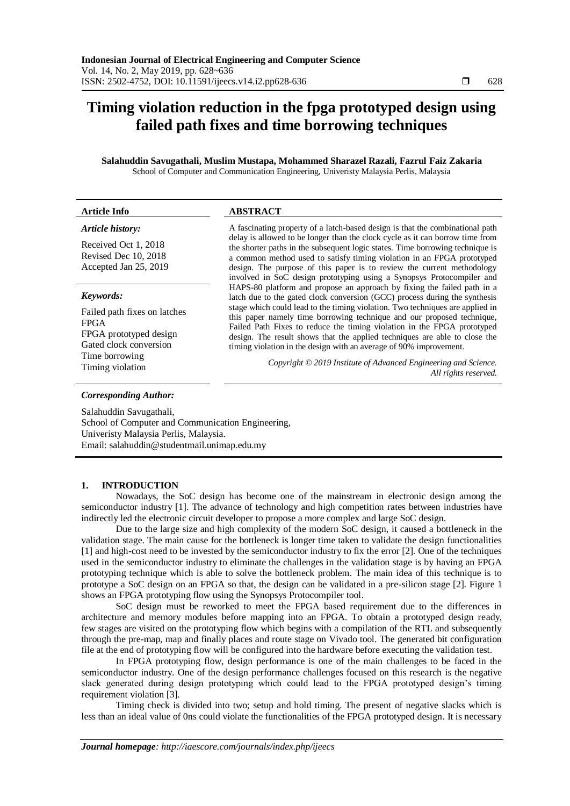# **Timing violation reduction in the fpga prototyped design using failed path fixes and time borrowing techniques**

**Salahuddin Savugathali, Muslim Mustapa, Mohammed Sharazel Razali, Fazrul Faiz Zakaria** School of Computer and Communication Engineering, Univeristy Malaysia Perlis, Malaysia

| <b>Article Info</b>                                                                                                                   | <b>ABSTRACT</b>                                                                                                                                                                                                                                                                                                                                                                             |  |
|---------------------------------------------------------------------------------------------------------------------------------------|---------------------------------------------------------------------------------------------------------------------------------------------------------------------------------------------------------------------------------------------------------------------------------------------------------------------------------------------------------------------------------------------|--|
| Article history:                                                                                                                      | A fascinating property of a latch-based design is that the combinational path                                                                                                                                                                                                                                                                                                               |  |
| Received Oct 1, 2018<br>Revised Dec 10, 2018<br>Accepted Jan 25, 2019                                                                 | delay is allowed to be longer than the clock cycle as it can borrow time from<br>the shorter paths in the subsequent logic states. Time borrowing technique is<br>a common method used to satisfy timing violation in an FPGA prototyped<br>design. The purpose of this paper is to review the current methodology<br>involved in SoC design prototyping using a Synopsys Protocompiler and |  |
| Keywords:                                                                                                                             | HAPS-80 platform and propose an approach by fixing the failed path in a<br>latch due to the gated clock conversion (GCC) process during the synthesis<br>stage which could lead to the timing violation. Two techniques are applied in                                                                                                                                                      |  |
| Failed path fixes on latches<br><b>FPGA</b><br>FPGA prototyped design<br>Gated clock conversion<br>Time borrowing<br>Timing violation | this paper namely time borrowing technique and our proposed technique,<br>Failed Path Fixes to reduce the timing violation in the FPGA prototyped<br>design. The result shows that the applied techniques are able to close the<br>timing violation in the design with an average of 90% improvement.                                                                                       |  |
|                                                                                                                                       | Copyright © 2019 Institute of Advanced Engineering and Science.<br>All rights reserved.                                                                                                                                                                                                                                                                                                     |  |

## *Corresponding Author:*

Salahuddin Savugathali, School of Computer and Communication Engineering, Univeristy Malaysia Perlis, Malaysia. Email: salahuddin@studentmail.unimap.edu.my

# **1. INTRODUCTION**

Nowadays, the SoC design has become one of the mainstream in electronic design among the semiconductor industry [1]. The advance of technology and high competition rates between industries have indirectly led the electronic circuit developer to propose a more complex and large SoC design.

Due to the large size and high complexity of the modern SoC design, it caused a bottleneck in the validation stage. The main cause for the bottleneck is longer time taken to validate the design functionalities [1] and high-cost need to be invested by the semiconductor industry to fix the error [2]. One of the techniques used in the semiconductor industry to eliminate the challenges in the validation stage is by having an FPGA prototyping technique which is able to solve the bottleneck problem. The main idea of this technique is to prototype a SoC design on an FPGA so that, the design can be validated in a pre-silicon stage [2]. Figure 1 shows an FPGA prototyping flow using the Synopsys Protocompiler tool.

SoC design must be reworked to meet the FPGA based requirement due to the differences in architecture and memory modules before mapping into an FPGA. To obtain a prototyped design ready, few stages are visited on the prototyping flow which begins with a compilation of the RTL and subsequently through the pre-map, map and finally places and route stage on Vivado tool. The generated bit configuration file at the end of prototyping flow will be configured into the hardware before executing the validation test.

In FPGA prototyping flow, design performance is one of the main challenges to be faced in the semiconductor industry. One of the design performance challenges focused on this research is the negative slack generated during design prototyping which could lead to the FPGA prototyped design's timing requirement violation [3].

Timing check is divided into two; setup and hold timing. The present of negative slacks which is less than an ideal value of 0ns could violate the functionalities of the FPGA prototyped design. It is necessary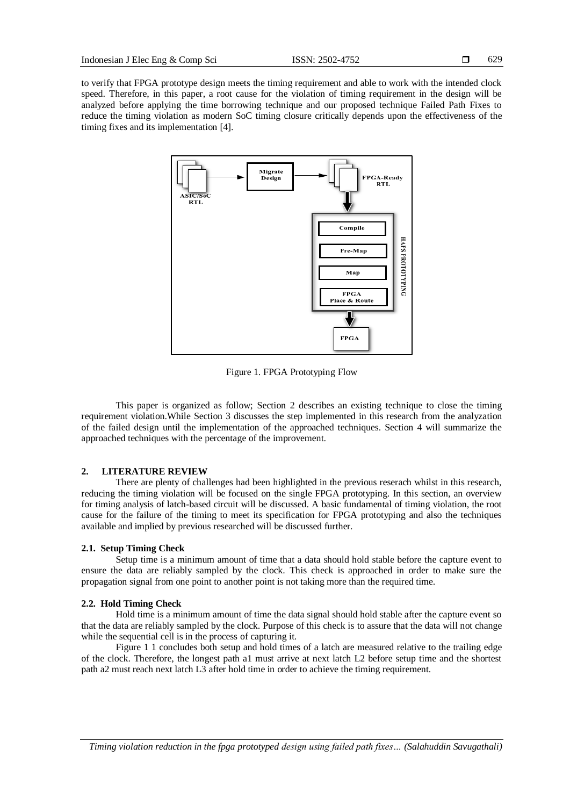to verify that FPGA prototype design meets the timing requirement and able to work with the intended clock speed. Therefore, in this paper, a root cause for the violation of timing requirement in the design will be analyzed before applying the time borrowing technique and our proposed technique Failed Path Fixes to reduce the timing violation as modern SoC timing closure critically depends upon the effectiveness of the timing fixes and its implementation [4].



Figure 1. FPGA Prototyping Flow

This paper is organized as follow; Section 2 describes an existing technique to close the timing requirement violation.While Section 3 discusses the step implemented in this research from the analyzation of the failed design until the implementation of the approached techniques. Section 4 will summarize the approached techniques with the percentage of the improvement.

## **2. LITERATURE REVIEW**

There are plenty of challenges had been highlighted in the previous reserach whilst in this research, reducing the timing violation will be focused on the single FPGA prototyping. In this section, an overview for timing analysis of latch-based circuit will be discussed. A basic fundamental of timing violation, the root cause for the failure of the timing to meet its specification for FPGA prototyping and also the techniques available and implied by previous researched will be discussed further.

## **2.1. Setup Timing Check**

Setup time is a minimum amount of time that a data should hold stable before the capture event to ensure the data are reliably sampled by the clock. This check is approached in order to make sure the propagation signal from one point to another point is not taking more than the required time.

## **2.2. Hold Timing Check**

Hold time is a minimum amount of time the data signal should hold stable after the capture event so that the data are reliably sampled by the clock. Purpose of this check is to assure that the data will not change while the sequential cell is in the process of capturing it.

[Figure](#page-2-0) 1 1 concludes both setup and hold times of a latch are measured relative to the trailing edge of the clock. Therefore, the longest path a1 must arrive at next latch L2 before setup time and the shortest path a2 must reach next latch L3 after hold time in order to achieve the timing requirement.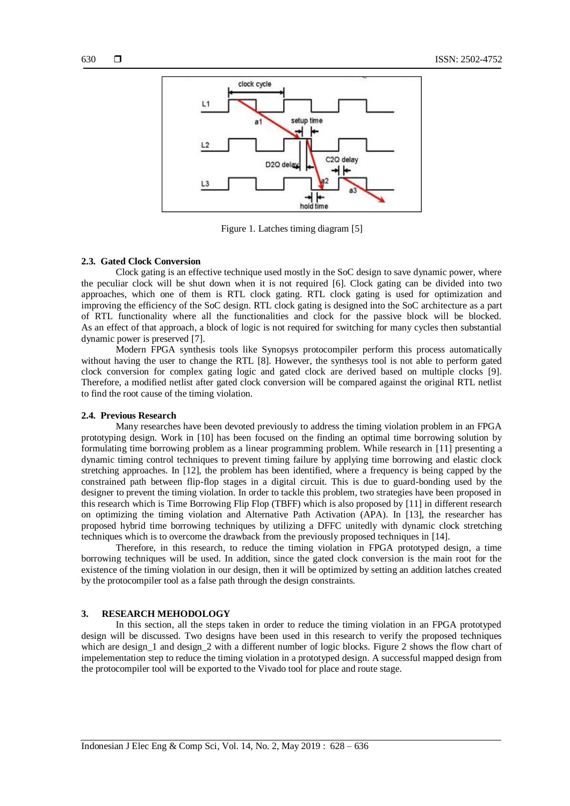

Figure 1. Latches timing diagram [5]

#### <span id="page-2-0"></span>**2.3. Gated Clock Conversion**

Clock gating is an effective technique used mostly in the SoC design to save dynamic power, where the peculiar clock will be shut down when it is not required [6]. Clock gating can be divided into two approaches, which one of them is RTL clock gating. RTL clock gating is used for optimization and improving the efficiency of the SoC design. RTL clock gating is designed into the SoC architecture as a part of RTL functionality where all the functionalities and clock for the passive block will be blocked. As an effect of that approach, a block of logic is not required for switching for many cycles then substantial dynamic power is preserved [7].

Modern FPGA synthesis tools like Synopsys protocompiler perform this process automatically without having the user to change the RTL [8]. However, the synthesys tool is not able to perform gated clock conversion for complex gating logic and gated clock are derived based on multiple clocks [9]. Therefore, a modified netlist after gated clock conversion will be compared against the original RTL netlist to find the root cause of the timing violation.

#### **2.4. Previous Research**

Many researches have been devoted previously to address the timing violation problem in an FPGA prototyping design. Work in [10] has been focused on the finding an optimal time borrowing solution by formulating time borrowing problem as a linear programming problem. While research in [11] presenting a dynamic timing control techniques to prevent timing failure by applying time borrowing and elastic clock stretching approaches. In [12], the problem has been identified, where a frequency is being capped by the constrained path between flip-flop stages in a digital circuit. This is due to guard-bonding used by the designer to prevent the timing violation. In order to tackle this problem, two strategies have been proposed in this research which is Time Borrowing Flip Flop (TBFF) which is also proposed by [11] in different research on optimizing the timing violation and Alternative Path Activation (APA). In [13], the researcher has proposed hybrid time borrowing techniques by utilizing a DFFC unitedly with dynamic clock stretching techniques which is to overcome the drawback from the previously proposed techniques in [14].

Therefore, in this research, to reduce the timing violation in FPGA prototyped design, a time borrowing techniques will be used. In addition, since the gated clock conversion is the main root for the existence of the timing violation in our design, then it will be optimized by setting an addition latches created by the protocompiler tool as a false path through the design constraints.

## **3. RESEARCH MEHODOLOGY**

In this section, all the steps taken in order to reduce the timing violation in an FPGA prototyped design will be discussed. Two designs have been used in this research to verify the proposed techniques which are design 1 and design 2 with a different number of logic blocks. Figure 2 shows the flow chart of impelementation step to reduce the timing violation in a prototyped design. A successful mapped design from the protocompiler tool will be exported to the Vivado tool for place and route stage.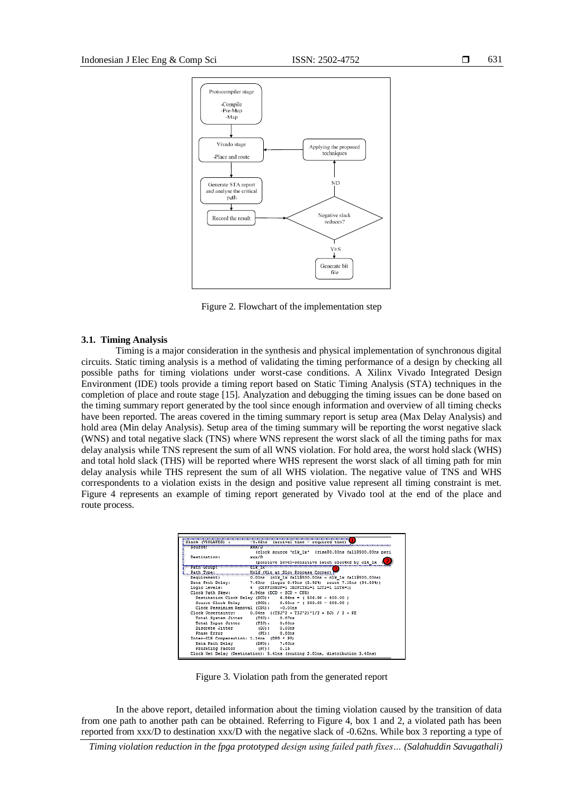

Figure 2. Flowchart of the implementation step

## **3.1. Timing Analysis**

Timing is a major consideration in the synthesis and physical implementation of synchronous digital circuits. Static timing analysis is a method of validating the timing performance of a design by checking all possible paths for timing violations under worst-case conditions. A Xilinx Vivado Integrated Design Environment (IDE) tools provide a timing report based on Static Timing Analysis (STA) techniques in the completion of place and route stage [15]. Analyzation and debugging the timing issues can be done based on the timing summary report generated by the tool since enough information and overview of all timing checks have been reported. The areas covered in the timing summary report is setup area (Max Delay Analysis) and hold area (Min delay Analysis). Setup area of the timing summary will be reporting the worst negative slack (WNS) and total negative slack (TNS) where WNS represent the worst slack of all the timing paths for max delay analysis while TNS represent the sum of all WNS violation. For hold area, the worst hold slack (WHS) and total hold slack (THS) will be reported where WHS represent the worst slack of all timing path for min delay analysis while THS represent the sum of all WHS violation. The negative value of TNS and WHS correspondents to a violation exists in the design and positive value represent all timing constraint is met. Figure 4 represents an example of timing report generated by Vivado tool at the end of the place and route process.

| Slack (VIOLATED) :                        | -0.62ns (arrival time - required time)                                                                               |
|-------------------------------------------|----------------------------------------------------------------------------------------------------------------------|
| Source:                                   | <b>xxx/D</b>                                                                                                         |
| <b>Destination:</b>                       | (clock source 'clk ix' (rise80.00ns fall8500.00ns peri<br>xxx/D<br>(positive level-sensitive latch clocked by clk 1x |
| <b>FARA GROUPE</b>                        | $c1x - 1x$                                                                                                           |
|                                           | Hold (Min.ac.Slow.Process.Corner) }                                                                                  |
| Requirement:                              | 0.00ns (clk 1x fall@500.00ns - clk 1x fall@500.00ns)                                                                 |
|                                           | Data Path Delay: 7.63ns (logic 0.45ns (5.92%) route 7.18ns (94.08%))                                                 |
| Logic Levels:                             | 4 (DIFFINBUF-1 IBUFCIRL-1 LUT2-1 LUT6-1)                                                                             |
| Clock Path Skew:                          | $6.96ns$ (DCD - SCD - CFR)                                                                                           |
|                                           | Destination Clock Delay (DCD): 6.96ns = ( \$06.96 - \$00.00 )                                                        |
|                                           | Source Clock Delay (SCD): 0.00ns = (500.00 - 500.00)                                                                 |
|                                           | Clock Pessimism Removal (CPR): -0.00ns                                                                               |
|                                           | Clock Uncertainty: 0.04ns ((TSJ^2 + TIJ^2)^1/2 + DJ) / 2 + PE                                                        |
| Total System Jitter (TSJ): 0.07ns         |                                                                                                                      |
| Total Input Jitter (TIJ): 0.00ns          |                                                                                                                      |
| Discrete Jitter                           | (DJ): 0.00m3                                                                                                         |
| Phase Error                               | (PE): 0.00ms                                                                                                         |
| Inter-SLR Compensation: 1.14ns (DPD * PF) |                                                                                                                      |
| Data Path Delay                           | (DPD): 7.63ns                                                                                                        |
| Prorating Factor                          | (PF): 0.15                                                                                                           |

Figure 3. Violation path from the generated report

In the above report, detailed information about the timing violation caused by the transition of data from one path to another path can be obtained. Referring to Figure 4, box 1 and 2, a violated path has been reported from xxx/D to destination xxx/D with the negative slack of -0.62ns. While box 3 reporting a type of

*Timing violation reduction in the fpga prototyped design using failed path fixes… (Salahuddin Savugathali)*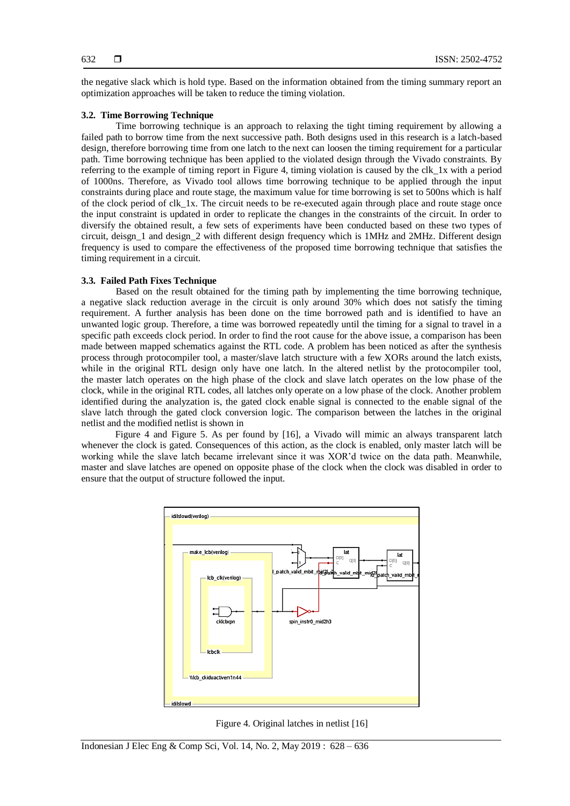the negative slack which is hold type. Based on the information obtained from the timing summary report an optimization approaches will be taken to reduce the timing violation.

## **3.2. Time Borrowing Technique**

Time borrowing technique is an approach to relaxing the tight timing requirement by allowing a failed path to borrow time from the next successive path. Both designs used in this research is a latch-based design, therefore borrowing time from one latch to the next can loosen the timing requirement for a particular path. Time borrowing technique has been applied to the violated design through the Vivado constraints. By referring to the example of timing report in Figure 4, timing violation is caused by the clk\_1x with a period of 1000ns. Therefore, as Vivado tool allows time borrowing technique to be applied through the input constraints during place and route stage, the maximum value for time borrowing is set to 500ns which is half of the clock period of clk\_1x. The circuit needs to be re-executed again through place and route stage once the input constraint is updated in order to replicate the changes in the constraints of the circuit. In order to diversify the obtained result, a few sets of experiments have been conducted based on these two types of circuit, deisgn\_1 and design\_2 with different design frequency which is 1MHz and 2MHz. Different design frequency is used to compare the effectiveness of the proposed time borrowing technique that satisfies the timing requirement in a circuit.

## **3.3. Failed Path Fixes Technique**

Based on the result obtained for the timing path by implementing the time borrowing technique, a negative slack reduction average in the circuit is only around 30% which does not satisfy the timing requirement. A further analysis has been done on the time borrowed path and is identified to have an unwanted logic group. Therefore, a time was borrowed repeatedly until the timing for a signal to travel in a specific path exceeds clock period. In order to find the root cause for the above issue, a comparison has been made between mapped schematics against the RTL code. A problem has been noticed as after the synthesis process through protocompiler tool, a master/slave latch structure with a few XORs around the latch exists, while in the original RTL design only have one latch. In the altered netlist by the protocompiler tool, the master latch operates on the high phase of the clock and slave latch operates on the low phase of the clock, while in the original RTL codes, all latches only operate on a low phase of the clock. Another problem identified during the analyzation is, the gated clock enable signal is connected to the enable signal of the slave latch through the gated clock conversion logic. The comparison between the latches in the original netlist and the modified netlist is shown in

Figure 4 and Figure 5. As per found by [16], a Vivado will mimic an always transparent latch whenever the clock is gated. Consequences of this action, as the clock is enabled, only master latch will be working while the slave latch became irrelevant since it was XOR'd twice on the data path. Meanwhile, master and slave latches are opened on opposite phase of the clock when the clock was disabled in order to ensure that the output of structure followed the input.



Figure 4. Original latches in netlist [16]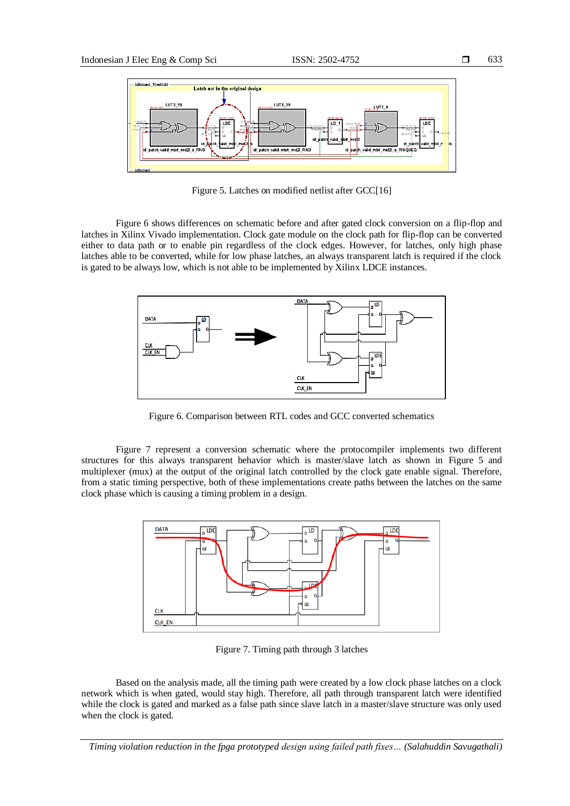

Figure 5. Latches on modified netlist after GCC[16]

Figure 6 shows differences on schematic before and after gated clock conversion on a flip-flop and latches in Xilinx Vivado implementation. Clock gate module on the clock path for flip-flop can be converted either to data path or to enable pin regardless of the clock edges. However, for latches, only high phase latches able to be converted, while for low phase latches, an always transparent latch is required if the clock is gated to be always low, which is not able to be implemented by Xilinx LDCE instances.



Figure 6. Comparison between RTL codes and GCC converted schematics

Figure 7 represent a conversion schematic where the protocompiler implements two different structures for this always transparent behavior which is master/slave latch as shown in Figure 5 and multiplexer (mux) at the output of the original latch controlled by the clock gate enable signal. Therefore, from a static timing perspective, both of these implementations create paths between the latches on the same clock phase which is causing a timing problem in a design.



Figure 7. Timing path through 3 latches

Based on the analysis made, all the timing path were created by a low clock phase latches on a clock network which is when gated, would stay high. Therefore, all path through transparent latch were identified while the clock is gated and marked as a false path since slave latch in a master/slave structure was only used when the clock is gated.

*Timing violation reduction in the fpga prototyped design using failed path fixes… (Salahuddin Savugathali)*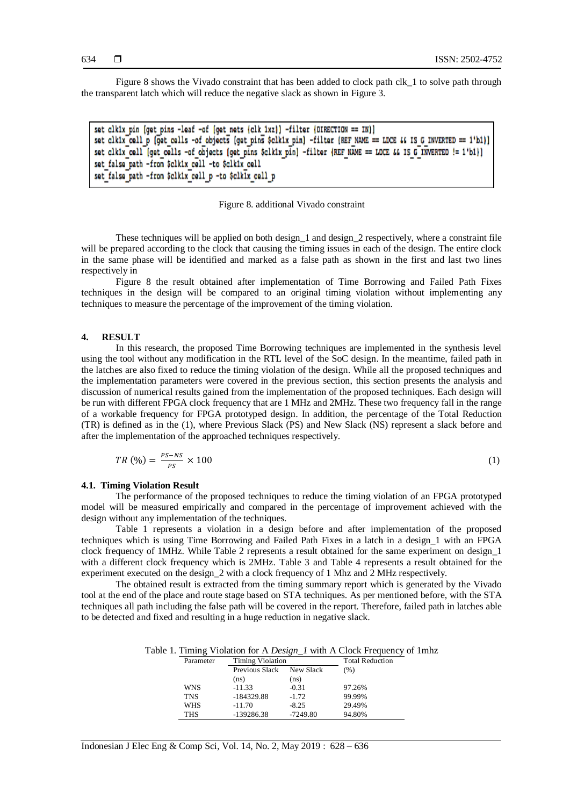Figure 8 shows the Vivado constraint that has been added to clock path clk 1 to solve path through the transparent latch which will reduce the negative slack as shown in Figure 3.

set clkix pin [get pins -leaf -of [get nets {clk ixz}] -filter {DIRECTION == IN}] set clkix cell p (get cells -of objects (get pins \$clkix pin) -filter (REF NAME == LDCE && IS G INVERTED == 1'b1)) set clkix cell [get cells -of objects [get pins \$clkix pin] -filter {REF NAME == LOCE 44 IS G INVERTED != 1'b1}} set false path -from Sclkix cell -to Sclkix cell set false path -from \$clkix cell p -to \$clkix cell p

## Figure 8. additional Vivado constraint

These techniques will be applied on both design\_1 and design\_2 respectively, where a constraint file will be prepared according to the clock that causing the timing issues in each of the design. The entire clock in the same phase will be identified and marked as a false path as shown in the first and last two lines respectively in

Figure 8 the result obtained after implementation of Time Borrowing and Failed Path Fixes techniques in the design will be compared to an original timing violation without implementing any techniques to measure the percentage of the improvement of the timing violation.

#### **4. RESULT**

In this research, the proposed Time Borrowing techniques are implemented in the synthesis level using the tool without any modification in the RTL level of the SoC design. In the meantime, failed path in the latches are also fixed to reduce the timing violation of the design. While all the proposed techniques and the implementation parameters were covered in the previous section, this section presents the analysis and discussion of numerical results gained from the implementation of the proposed techniques. Each design will be run with different FPGA clock frequency that are 1 MHz and 2MHz. These two frequency fall in the range of a workable frequency for FPGA prototyped design. In addition, the percentage of the Total Reduction (TR) is defined as in the (1), where Previous Slack (PS) and New Slack (NS) represent a slack before and after the implementation of the approached techniques respectively.

$$
TR\left(\% \right) = \frac{ps - ns}{ps} \times 100\tag{1}
$$

## **4.1. Timing Violation Result**

The performance of the proposed techniques to reduce the timing violation of an FPGA prototyped model will be measured empirically and compared in the percentage of improvement achieved with the design without any implementation of the techniques.

Table 1 represents a violation in a design before and after implementation of the proposed techniques which is using Time Borrowing and Failed Path Fixes in a latch in a design\_1 with an FPGA clock frequency of 1MHz. While Table 2 represents a result obtained for the same experiment on design\_1 with a different clock frequency which is 2MHz. Table 3 and Table 4 represents a result obtained for the experiment executed on the design\_2 with a clock frequency of 1 Mhz and 2 MHz respectively.

The obtained result is extracted from the timing summary report which is generated by the Vivado tool at the end of the place and route stage based on STA techniques. As per mentioned before, with the STA techniques all path including the false path will be covered in the report. Therefore, failed path in latches able to be detected and fixed and resulting in a huge reduction in negative slack.

Table 1. Timing Violation for A *Design\_1* with A Clock Frequency of 1mhz

| Parameter  | <b>Timing Violation</b> |            | <b>Total Reduction</b> |
|------------|-------------------------|------------|------------------------|
|            | Previous Slack          | New Slack  | (% )                   |
|            | (ns)                    | (ns)       |                        |
| <b>WNS</b> | $-11.33$                | $-0.31$    | 97.26%                 |
| <b>TNS</b> | $-184329.88$            | $-1.72$    | 99.99%                 |
| <b>WHS</b> | $-11.70$                | $-8.25$    | 29.49%                 |
| THS        | -139286.38              | $-7249.80$ | 94.80%                 |

Indonesian J Elec Eng & Comp Sci, Vol. 14, No. 2, May 2019 : 628 – 636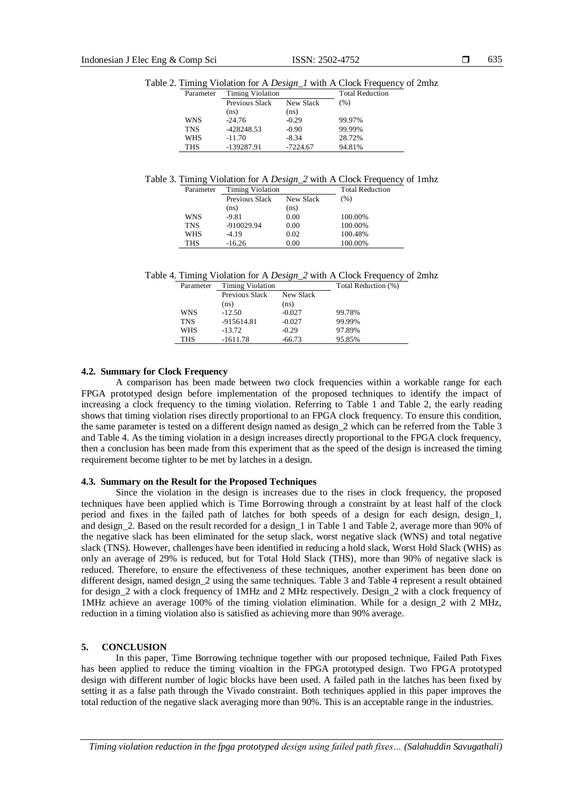Table 2. Timing Violation for A *Design\_1* with A Clock Frequency of 2mhz

| Parameter  | <b>Timing Violation</b> |            | <b>Total Reduction</b> |
|------------|-------------------------|------------|------------------------|
|            | Previous Slack          | New Slack  | (% )                   |
|            | (ns)                    | (ns)       |                        |
| WNS        | $-24.76$                | $-0.29$    | 99.97%                 |
| <b>TNS</b> | -428248.53              | $-0.90$    | 99.99%                 |
| <b>WHS</b> | $-11.70$                | $-8.34$    | 28.72%                 |
| <b>THS</b> | -139287.91              | $-7224.67$ | 94.81%                 |

Table 3. Timing Violation for A *Design\_2* with A Clock Frequency of 1mhz

| Parameter  | <b>Timing Violation</b> |           | <b>Total Reduction</b> |
|------------|-------------------------|-----------|------------------------|
|            | Previous Slack          | New Slack | (%)                    |
|            | (ns)                    | (ns)      |                        |
| WNS        | $-9.81$                 | 0.00      | 100.00%                |
| <b>TNS</b> | -910029.94              | 0.00      | 100.00%                |
| WHS        | $-4.19$                 | 0.02      | 100.48%                |
| <b>THS</b> | $-16.26$                | 0.00      | 100.00%                |

Table 4. Timing Violation for A *Design\_2* with A Clock Frequency of 2mhz

| Parameter  | <b>Timing Violation</b> |           | Total Reduction (%) |
|------------|-------------------------|-----------|---------------------|
|            | Previous Slack          | New Slack |                     |
|            | (ns)                    | (ns)      |                     |
| WNS        | $-12.50$                | $-0.027$  | 99.78%              |
| <b>TNS</b> | -915614.81              | $-0.027$  | 99.99%              |
| <b>WHS</b> | $-13.72$                | $-0.29$   | 97.89%              |
| THS        | $-1611.78$              | $-66.73$  | 95.85%              |

## **4.2. Summary for Clock Frequency**

A comparison has been made between two clock frequencies within a workable range for each FPGA prototyped design before implementation of the proposed techniques to identify the impact of increasing a clock frequency to the timing violation. Referring to Table 1 and Table 2, the early reading shows that timing violation rises directly proportional to an FPGA clock frequency. To ensure this condition, the same parameter is tested on a different design named as design 2 which can be referred from the Table 3 and Table 4. As the timing violation in a design increases directly proportional to the FPGA clock frequency, then a conclusion has been made from this experiment that as the speed of the design is increased the timing requirement become tighter to be met by latches in a design.

# **4.3. Summary on the Result for the Proposed Techniques**

Since the violation in the design is increases due to the rises in clock frequency, the proposed techniques have been applied which is Time Borrowing through a constraint by at least half of the clock period and fixes in the failed path of latches for both speeds of a design for each design, design\_1, and design\_2. Based on the result recorded for a design\_1 in Table 1 and Table 2, average more than 90% of the negative slack has been eliminated for the setup slack, worst negative slack (WNS) and total negative slack (TNS). However, challenges have been identified in reducing a hold slack, Worst Hold Slack (WHS) as only an average of 29% is reduced, but for Total Hold Slack (THS), more than 90% of negative slack is reduced. Therefore, to ensure the effectiveness of these techniques, another experiment has been done on different design, named design\_2 using the same techniques. Table 3 and Table 4 represent a result obtained for design\_2 with a clock frequency of 1MHz and 2 MHz respectively. Design\_2 with a clock frequency of 1MHz achieve an average 100% of the timing violation elimination. While for a design\_2 with 2 MHz, reduction in a timing violation also is satisfied as achieving more than 90% average.

#### **5. CONCLUSION**

In this paper, Time Borrowing technique together with our proposed technique, Failed Path Fixes has been applied to reduce the timing vioaltion in the FPGA prototyped design. Two FPGA prototyped design with different number of logic blocks have been used. A failed path in the latches has been fixed by setting it as a false path through the Vivado constraint. Both techniques applied in this paper improves the total reduction of the negative slack averaging more than 90%. This is an acceptable range in the industries.